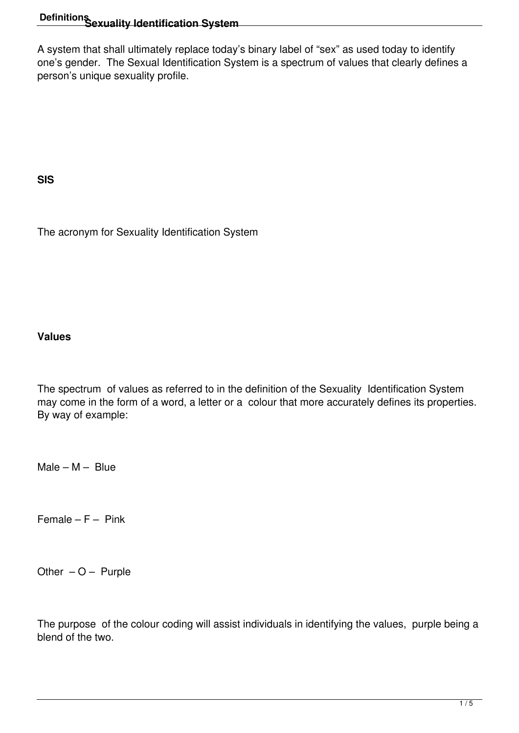# **Definitions Sexuality Identification System**

A system that shall ultimately replace today's binary label of "sex" as used today to identify one's gender. The Sexual Identification System is a spectrum of values that clearly defines a person's unique sexuality profile.

**SIS**

The acronym for Sexuality Identification System

#### **Values**

The spectrum of values as referred to in the definition of the Sexuality Identification System may come in the form of a word, a letter or a colour that more accurately defines its properties. By way of example:

 $Male - M - Blue$ 

Female –  $F - P$ ink

Other  $-$  O – Purple

The purpose of the colour coding will assist individuals in identifying the values, purple being a blend of the two.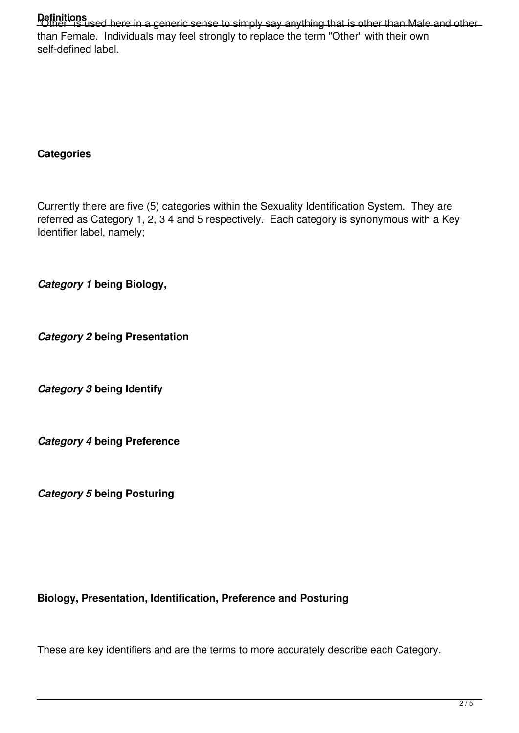Definitions<br>"Other" is used here in a generic sense to simply say anything that is other than Male and other than Female. Individuals may feel strongly to replace the term "Other" with their own self-defined label.

# **Categories**

Currently there are five (5) categories within the Sexuality Identification System. They are referred as Category 1, 2, 3 4 and 5 respectively. Each category is synonymous with a Key Identifier label, namely;

*Category 1* **being Biology,**

*Category 2* **being Presentation**

*Category 3* **being Identify**

*Category 4* **being Preference**

*Category 5* **being Posturing**

# **Biology, Presentation, Identification, Preference and Posturing**

These are key identifiers and are the terms to more accurately describe each Category.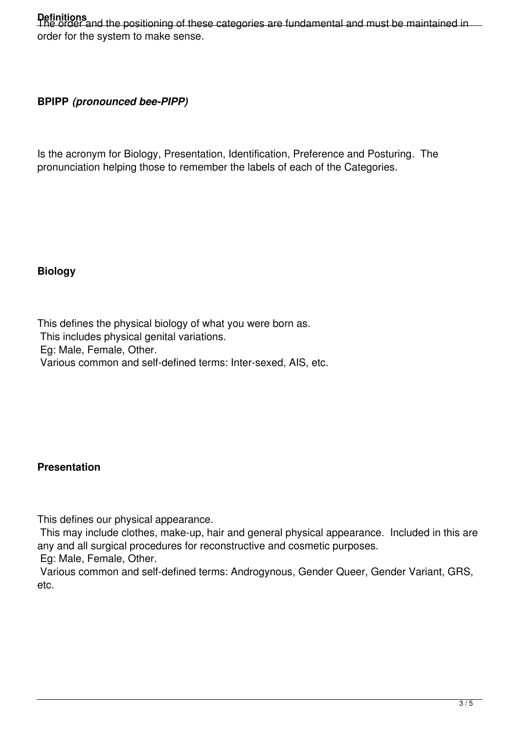# Definitions<br>The order and the positioning of these categories are fundamental and must be maintained in order for the system to make sense.

#### **BPIPP** *(pronounced bee-PIPP)*

Is the acronym for Biology, Presentation, Identification, Preference and Posturing. The pronunciation helping those to remember the labels of each of the Categories.

#### **Biology**

This defines the physical biology of what you were born as. This includes physical genital variations. Eg: Male, Female, Other. Various common and self-defined terms: Inter-sexed, AIS, etc.

# **Presentation**

This defines our physical appearance.

 This may include clothes, make-up, hair and general physical appearance. Included in this are any and all surgical procedures for reconstructive and cosmetic purposes.

Eg: Male, Female, Other.

 Various common and self-defined terms: Androgynous, Gender Queer, Gender Variant, GRS, etc.